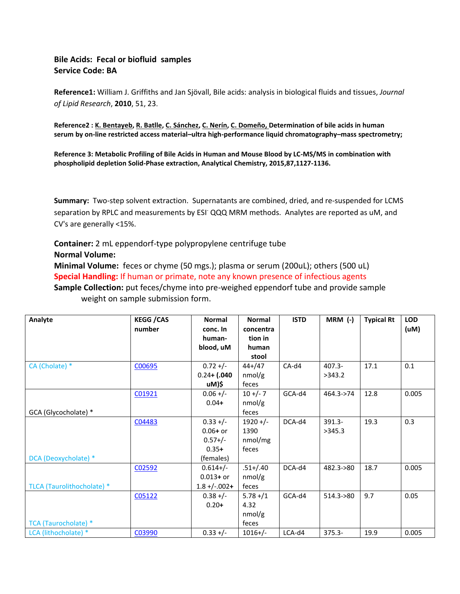# **Bile Acids: Fecal or biofluid samples Service Code: BA**

**Reference1:** William J. Griffiths and Jan Sjövall, Bile acids: analysis in biological fluids and tissues, *Journal of Lipid Research*, **2010**, 51, 23.

**Reference2 [: K. Bentayeb,](http://www.sciencedirect.com/science/article/pii/S1570023208003255) [R. Batlle,](http://www.sciencedirect.com/science/article/pii/S1570023208003255) [C. Sánchez,](http://www.sciencedirect.com/science/article/pii/S1570023208003255) [C. Nerín,](http://www.sciencedirect.com/science/article/pii/S1570023208003255) [C. Domeño,](http://www.sciencedirect.com/science/article/pii/S1570023208003255) Determination of bile acids in human serum by on-line restricted access material–ultra high-performance liquid chromatography–mass spectrometry;** 

**Reference 3: Metabolic Profiling of Bile Acids in Human and Mouse Blood by LC-MS/MS in combination with phospholipid depletion Solid-Phase extraction, Analytical Chemistry, 2015,87,1127-1136.**

**Summary:** Two-step solvent extraction. Supernatants are combined, dried, and re-suspended for LCMS separation by RPLC and measurements by ESI<sup>-</sup> QQQ MRM methods. Analytes are reported as uM, and CV's are generally <15%.

**Container:** 2 mL eppendorf-type polypropylene centrifuge tube **Normal Volume:** 

**Minimal Volume:** feces or chyme (50 mgs.); plasma or serum (200uL); others (500 uL) **Special Handling:** If human or primate, note any known presence of infectious agents **Sample Collection:** put feces/chyme into pre-weighed eppendorf tube and provide sample weight on sample submission form.

| Analyte                     | <b>KEGG / CAS</b> | <b>Normal</b>     | <b>Normal</b> | <b>ISTD</b> | $MRM$ (-)    | <b>Typical Rt</b> | <b>LOD</b> |
|-----------------------------|-------------------|-------------------|---------------|-------------|--------------|-------------------|------------|
|                             | number            | conc. In          | concentra     |             |              |                   | (uM)       |
|                             |                   | human-            | tion in       |             |              |                   |            |
|                             |                   | blood, uM         | human         |             |              |                   |            |
|                             |                   |                   | stool         |             |              |                   |            |
| CA (Cholate) *              | C00695            | $0.72 +/-$        | $44+ / 47$    | CA-d4       | $407.3 -$    | 17.1              | 0.1        |
|                             |                   | $0.24 + (.040$    | nmol/g        |             | >343.2       |                   |            |
|                             |                   | uM)\$             | feces         |             |              |                   |            |
|                             | C01921            | $0.06 +/-$        | $10 +/- 7$    | GCA-d4      | 464.3->74    | 12.8              | 0.005      |
|                             |                   | $0.04 +$          | nmol/g        |             |              |                   |            |
| GCA (Glycocholate) *        |                   |                   | feces         |             |              |                   |            |
|                             | C04483            | $0.33 +/-$        | $1920 +/-$    | DCA-d4      | 391.3-       | 19.3              | 0.3        |
|                             |                   | $0.06 + or$       | 1390          |             | >345.3       |                   |            |
|                             |                   | $0.57+/-$         | nmol/mg       |             |              |                   |            |
|                             |                   | $0.35+$           | feces         |             |              |                   |            |
| DCA (Deoxycholate) *        |                   | (females)         |               |             |              |                   |            |
|                             | C02592            | $0.614 + / -$     | $.51 + / .40$ | DCA-d4      | 482.3->80    | 18.7              | 0.005      |
|                             |                   | $0.013 + or$      | nmol/g        |             |              |                   |            |
| TLCA (Taurolithocholate) *  |                   | $1.8 + (-0.002 +$ | feces         |             |              |                   |            |
|                             | C05122            | $0.38 +/-$        | $5.78 + / 1$  | GCA-d4      | $514.3 - 80$ | 9.7               | 0.05       |
|                             |                   | $0.20+$           | 4.32          |             |              |                   |            |
|                             |                   |                   | nmol/g        |             |              |                   |            |
| <b>TCA (Taurocholate) *</b> |                   |                   | feces         |             |              |                   |            |
| LCA (lithocholate) *        | C03990            | $0.33 +/-$        | $1016+/-$     | LCA-d4      | $375.3 -$    | 19.9              | 0.005      |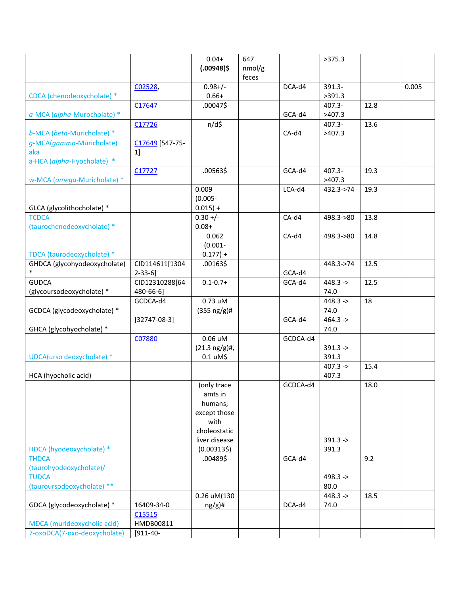|                              |                 | $0.04 +$                  | 647    |          | >375.3     |      |       |
|------------------------------|-----------------|---------------------------|--------|----------|------------|------|-------|
|                              |                 | $(.00948)$ \$             | nmol/g |          |            |      |       |
|                              |                 |                           | feces  |          |            |      |       |
|                              | C02528,         | $0.98 + / -$              |        | DCA-d4   | 391.3-     |      | 0.005 |
| CDCA (chenodeoxycholate) *   |                 | $0.66 +$                  |        |          | >391.3     |      |       |
|                              | C17647          | .00047\$                  |        |          | 407.3-     | 12.8 |       |
| a-MCA (alpha-Murocholate) *  |                 |                           |        | GCA-d4   | >407.3     |      |       |
|                              | C17726          | $n/d\zeta$                |        |          | 407.3-     | 13.6 |       |
| b-MCA (beta-Muricholate) *   |                 |                           |        | CA-d4    | >407.3     |      |       |
|                              |                 |                           |        |          |            |      |       |
| g-MCA(gamma-Muricholate)     | C17649 [547-75- |                           |        |          |            |      |       |
| aka                          | 1]              |                           |        |          |            |      |       |
| a-HCA (alpha-Hyocholate) *   |                 |                           |        |          |            |      |       |
|                              | C17727          | .00563\$                  |        | GCA-d4   | 407.3-     | 19.3 |       |
| w-MCA (omega-Muricholate) *  |                 |                           |        |          | >407.3     |      |       |
|                              |                 | 0.009                     |        | LCA-d4   | 432.3->74  | 19.3 |       |
|                              |                 | $(0.005 -$                |        |          |            |      |       |
| GLCA (glycolithocholate) *   |                 | $0.015$ ) +               |        |          |            |      |       |
| <b>TCDCA</b>                 |                 | $0.30 +/-$                |        | CA-d4    | 498.3->80  | 13.8 |       |
| (taurochenodeoxycholate) *   |                 | $0.08 +$                  |        |          |            |      |       |
|                              |                 | 0.062                     |        | $CA-d4$  | 498.3->80  | 14.8 |       |
|                              |                 | $(0.001 -$                |        |          |            |      |       |
| TDCA (taurodeoxycholate) *   |                 | $0.177$ ) +               |        |          |            |      |       |
| GHDCA (glycohyodeoxycholate) | CID114611[1304  | .00163\$                  |        |          | 448.3->74  | 12.5 |       |
| $\ast$                       | $2-33-6$ ]      |                           |        | GCA-d4   |            |      |       |
| <b>GUDCA</b>                 | CID12310288[64  | $0.1 - 0.7 +$             |        | GCA-d4   | $448.3 ->$ | 12.5 |       |
| (glycoursodeoxycholate) *    | 480-66-6]       |                           |        |          | 74.0       |      |       |
|                              | GCDCA-d4        | 0.73 uM                   |        |          | $448.3 ->$ | 18   |       |
| GCDCA (glycodeoxycholate) *  |                 |                           |        |          | 74.0       |      |       |
|                              |                 | $(355 \nng/g)$ #          |        |          |            |      |       |
|                              | $[32747-08-3]$  |                           |        | GCA-d4   | $464.3 -$  |      |       |
| GHCA (glycohyocholate) *     |                 |                           |        |          | 74.0       |      |       |
|                              | C07880          | $0.06$ uM                 |        | GCDCA-d4 |            |      |       |
|                              |                 | $(21.3 \text{ ng/g})\#$ , |        |          | $391.3 -$  |      |       |
| UDCA(urso deoxycholate) *    |                 | $0.1 \text{ uM}$ \$       |        |          | 391.3      |      |       |
|                              |                 |                           |        |          | $407.3 ->$ | 15.4 |       |
| HCA (hyocholic acid)         |                 |                           |        |          | 407.3      |      |       |
|                              |                 | (only trace               |        | GCDCA-d4 |            | 18.0 |       |
|                              |                 | amts in                   |        |          |            |      |       |
|                              |                 | humans;                   |        |          |            |      |       |
|                              |                 | except those              |        |          |            |      |       |
|                              |                 | with                      |        |          |            |      |       |
|                              |                 | choleostatic              |        |          |            |      |       |
|                              |                 | liver disease             |        |          | $391.3 ->$ |      |       |
| HDCA (hyodeoxycholate) *     |                 | $(0.00313\$               |        |          | 391.3      |      |       |
| <b>THDCA</b>                 |                 | .00489\$                  |        | GCA-d4   |            | 9.2  |       |
| (taurohyodeoxycholate)/      |                 |                           |        |          |            |      |       |
| <b>TUDCA</b>                 |                 |                           |        |          | $498.3 -$  |      |       |
| (tauroursodeoxycholate) **   |                 |                           |        |          | 80.0       |      |       |
|                              |                 | 0.26 uM(130               |        |          | $448.3 ->$ | 18.5 |       |
| GDCA (glycodeoxycholate) *   | 16409-34-0      | $ng/g$ )#                 |        | DCA-d4   | 74.0       |      |       |
|                              | C15515          |                           |        |          |            |      |       |
| MDCA (murideoxycholic acid)  | HMDB00811       |                           |        |          |            |      |       |
|                              |                 |                           |        |          |            |      |       |
| 7-oxoDCA(7-oxo-deoxycholate) | $[911-40-$      |                           |        |          |            |      |       |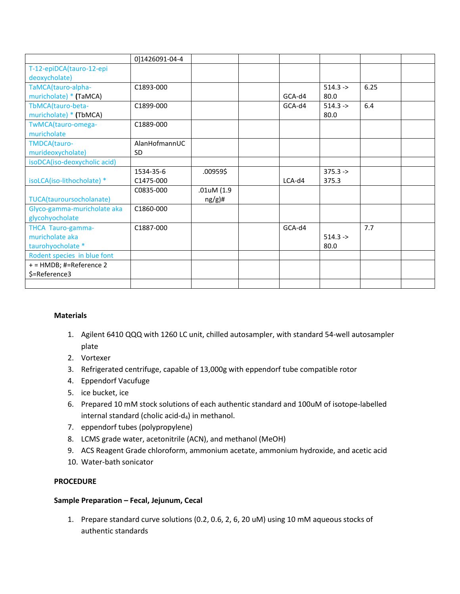|                              | 0]1426091-04-4 |            |        |             |      |  |
|------------------------------|----------------|------------|--------|-------------|------|--|
| T-12-epiDCA(tauro-12-epi     |                |            |        |             |      |  |
| deoxycholate)                |                |            |        |             |      |  |
| TaMCA(tauro-alpha-           | C1893-000      |            |        | $514.3 - >$ | 6.25 |  |
| muricholate) * (TaMCA)       |                |            | GCA-d4 | 80.0        |      |  |
| TbMCA(tauro-beta-            | C1899-000      |            | GCA-d4 | $514.3 - >$ | 6.4  |  |
| muricholate) * (TbMCA)       |                |            |        | 80.0        |      |  |
| TwMCA(tauro-omega-           | C1889-000      |            |        |             |      |  |
| muricholate                  |                |            |        |             |      |  |
| TMDCA(tauro-                 | AlanHofmannUC  |            |        |             |      |  |
| murideoxycholate)            | <b>SD</b>      |            |        |             |      |  |
| isoDCA(iso-deoxycholic acid) |                |            |        |             |      |  |
|                              | 1534-35-6      | .00959\$   |        | $375.3 ->$  |      |  |
| isoLCA(iso-lithocholate) *   | C1475-000      |            | LCA-d4 | 375.3       |      |  |
|                              | C0835-000      | .01uM (1.9 |        |             |      |  |
| TUCA(tauroursocholanate)     |                | $ng/g)$ #  |        |             |      |  |
| Glyco-gamma-muricholate aka  | C1860-000      |            |        |             |      |  |
| glycohyocholate              |                |            |        |             |      |  |
| THCA Tauro-gamma-            | C1887-000      |            | GCA-d4 |             | 7.7  |  |
| muricholate aka              |                |            |        | $514.3 -$   |      |  |
| taurohyocholate *            |                |            |        | 80.0        |      |  |
| Rodent species in blue font  |                |            |        |             |      |  |
| + = HMDB; #=Reference 2      |                |            |        |             |      |  |
| \$=Reference3                |                |            |        |             |      |  |
|                              |                |            |        |             |      |  |

### **Materials**

- 1. Agilent 6410 QQQ with 1260 LC unit, chilled autosampler, with standard 54-well autosampler plate
- 2. Vortexer
- 3. Refrigerated centrifuge, capable of 13,000g with eppendorf tube compatible rotor
- 4. Eppendorf Vacufuge
- 5. ice bucket, ice
- 6. Prepared 10 mM stock solutions of each authentic standard and 100uM of isotope-labelled internal standard (cholic acid- $d_4$ ) in methanol.
- 7. eppendorf tubes (polypropylene)
- 8. LCMS grade water, acetonitrile (ACN), and methanol (MeOH)
- 9. ACS Reagent Grade chloroform, ammonium acetate, ammonium hydroxide, and acetic acid
- 10. Water-bath sonicator

#### **PROCEDURE**

#### **Sample Preparation – Fecal, Jejunum, Cecal**

1. Prepare standard curve solutions (0.2, 0.6, 2, 6, 20 uM) using 10 mM aqueous stocks of authentic standards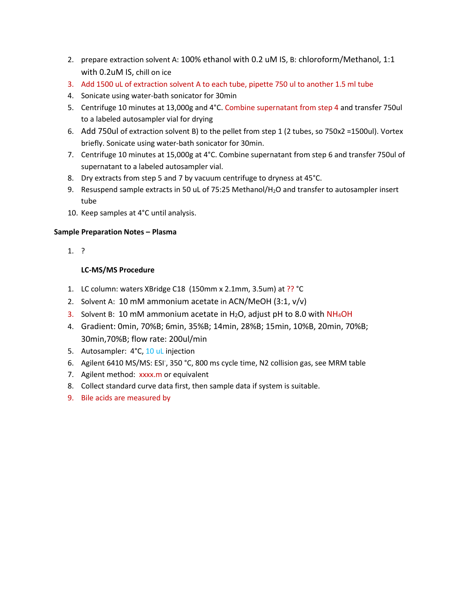- 2. prepare extraction solvent A: 100% ethanol with 0.2 uM IS, B: chloroform/Methanol, 1:1 with 0.2uM IS, chill on ice
- 3. Add 1500 uL of extraction solvent A to each tube, pipette 750 ul to another 1.5 ml tube
- 4. Sonicate using water-bath sonicator for 30min
- 5. Centrifuge 10 minutes at 13,000g and 4°C. Combine supernatant from step 4 and transfer 750ul to a labeled autosampler vial for drying
- 6. Add 750ul of extraction solvent B) to the pellet from step 1 (2 tubes, so 750x2 =1500ul). Vortex briefly. Sonicate using water-bath sonicator for 30min.
- 7. Centrifuge 10 minutes at 15,000g at 4°C. Combine supernatant from step 6 and transfer 750ul of supernatant to a labeled autosampler vial.
- 8. Dry extracts from step 5 and 7 by vacuum centrifuge to dryness at 45°C.
- 9. Resuspend sample extracts in 50 uL of 75:25 Methanol/H<sub>2</sub>O and transfer to autosampler insert tube
- 10. Keep samples at 4°C until analysis.

### **Sample Preparation Notes – Plasma**

1. ?

## **LC-MS/MS Procedure**

- 1. LC column: waters XBridge C18 (150mm x 2.1mm, 3.5um) at ?? °C
- 2. Solvent A: 10 mM ammonium acetate in ACN/MeOH (3:1, v/v)
- 3. Solvent B: 10 mM ammonium acetate in H<sub>2</sub>O, adjust pH to 8.0 with  $NH<sub>4</sub>OH$
- 4. Gradient: 0min, 70%B; 6min, 35%B; 14min, 28%B; 15min, 10%B, 20min, 70%B; 30min,70%B; flow rate: 200ul/min
- 5. Autosampler: 4°C, 10 uL injection
- 6. Agilent 6410 MS/MS: ESI<sup>-</sup>, 350 °C, 800 ms cycle time, N2 collision gas, see MRM table
- 7. Agilent method: xxxx.m or equivalent
- 8. Collect standard curve data first, then sample data if system is suitable.
- 9. Bile acids are measured by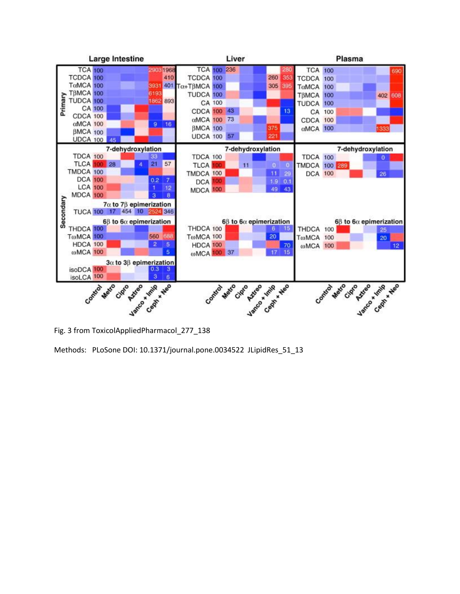

Methods: PLoSone DOI: 10.1371/journal.pone.0034522 JLipidRes\_51\_13